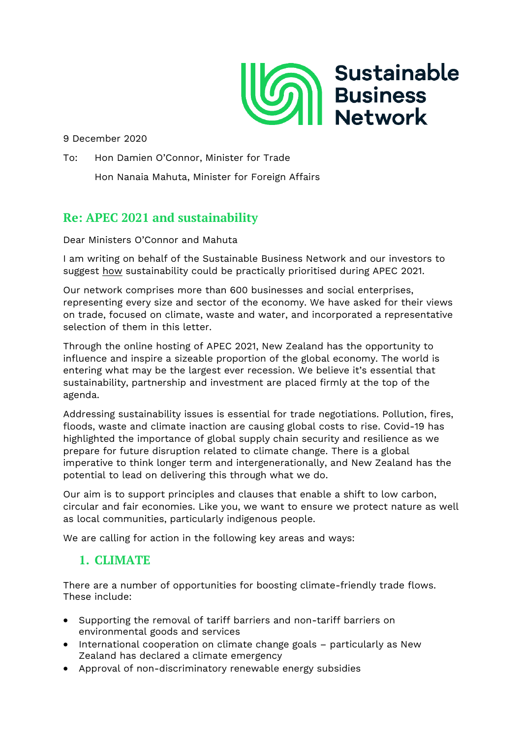

9 December 2020

To: Hon Damien O'Connor, Minister for Trade

Hon Nanaia Mahuta, Minister for Foreign Affairs

# **Re: APEC 2021 and sustainability**

Dear Ministers O'Connor and Mahuta

I am writing on behalf of the Sustainable Business Network and our investors to suggest how sustainability could be practically prioritised during APEC 2021.

Our network comprises more than 600 businesses and social enterprises, representing every size and sector of the economy. We have asked for their views on trade, focused on climate, waste and water, and incorporated a representative selection of them in this letter.

Through the online hosting of APEC 2021, New Zealand has the opportunity to influence and inspire a sizeable proportion of the global economy. The world is entering what may be the largest ever recession. We believe it's essential that sustainability, partnership and investment are placed firmly at the top of the agenda.

Addressing sustainability issues is essential for trade negotiations. Pollution, fires, floods, waste and climate inaction are causing global costs to rise. Covid-19 has highlighted the importance of global supply chain security and resilience as we prepare for future disruption related to climate change. There is a global imperative to think longer term and intergenerationally, and New Zealand has the potential to lead on delivering this through what we do.

Our aim is to support principles and clauses that enable a shift to low carbon, circular and fair economies. Like you, we want to ensure we protect nature as well as local communities, particularly indigenous people.

We are calling for action in the following key areas and ways:

# **1. CLIMATE**

There are a number of opportunities for boosting climate-friendly trade flows. These include:

- Supporting the removal of tariff barriers and non-tariff barriers on environmental goods and services
- International cooperation on climate change goals particularly as New Zealand has declared a climate emergency
- Approval of non-discriminatory renewable energy subsidies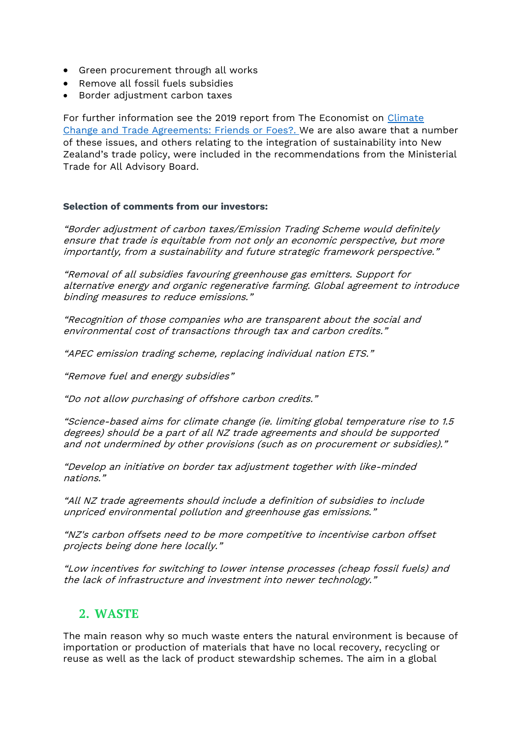- Green procurement through all works
- Remove all fossil fuels subsidies
- Border adjustment carbon taxes

For further information see the 2019 report from The Economist on [Climate](https://iccwbo.org/content/uploads/sites/3/2019/03/icc-report-trade-and-climate-change.pdf)  [Change and Trade Agreements: Friends or Foes?.](https://iccwbo.org/content/uploads/sites/3/2019/03/icc-report-trade-and-climate-change.pdf) We are also aware that a number of these issues, and others relating to the integration of sustainability into New Zealand's trade policy, were included in the recommendations from the Ministerial Trade for All Advisory Board.

### **Selection of comments from our investors:**

"Border adjustment of carbon taxes/Emission Trading Scheme would definitely ensure that trade is equitable from not only an economic perspective, but more importantly, from a sustainability and future strategic framework perspective."

"Removal of all subsidies favouring greenhouse gas emitters. Support for alternative energy and organic regenerative farming. Global agreement to introduce binding measures to reduce emissions."

"Recognition of those companies who are transparent about the social and environmental cost of transactions through tax and carbon credits."

"APEC emission trading scheme, replacing individual nation ETS."

"Remove fuel and energy subsidies"

"Do not allow purchasing of offshore carbon credits."

"Science-based aims for climate change (ie. limiting global temperature rise to 1.5 degrees) should be a part of all NZ trade agreements and should be supported and not undermined by other provisions (such as on procurement or subsidies)."

"Develop an initiative on border tax adjustment together with like-minded nations."

"All NZ trade agreements should include a definition of subsidies to include unpriced environmental pollution and greenhouse gas emissions."

"NZ's carbon offsets need to be more competitive to incentivise carbon offset projects being done here locally."

"Low incentives for switching to lower intense processes (cheap fossil fuels) and the lack of infrastructure and investment into newer technology."

## **2. WASTE**

The main reason why so much waste enters the natural environment is because of importation or production of materials that have no local recovery, recycling or reuse as well as the lack of product stewardship schemes. The aim in a global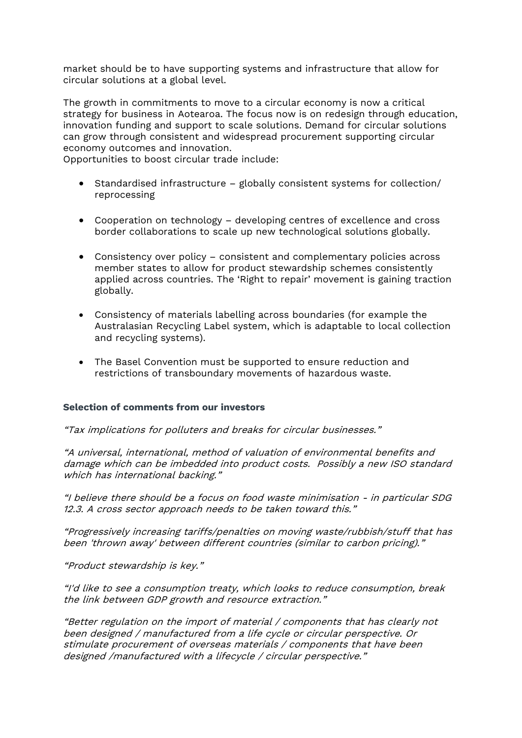market should be to have supporting systems and infrastructure that allow for circular solutions at a global level.

The growth in commitments to move to a circular economy is now a critical strategy for business in Aotearoa. The focus now is on redesign through education, innovation funding and support to scale solutions. Demand for circular solutions can grow through consistent and widespread procurement supporting circular economy outcomes and innovation.

Opportunities to boost circular trade include:

- Standardised infrastructure globally consistent systems for collection/ reprocessing
- Cooperation on technology developing centres of excellence and cross border collaborations to scale up new technological solutions globally.
- Consistency over policy consistent and complementary policies across member states to allow for product stewardship schemes consistently applied across countries. The 'Right to repair' movement is gaining traction globally.
- Consistency of materials labelling across boundaries (for example the Australasian Recycling Label system, which is adaptable to local collection and recycling systems).
- The Basel Convention must be supported to ensure reduction and restrictions of transboundary movements of hazardous waste.

#### **Selection of comments from our investors**

"Tax implications for polluters and breaks for circular businesses."

"A universal, international, method of valuation of environmental benefits and damage which can be imbedded into product costs. Possibly a new ISO standard which has international backing."

"I believe there should be a focus on food waste minimisation - in particular SDG 12.3. A cross sector approach needs to be taken toward this."

"Progressively increasing tariffs/penalties on moving waste/rubbish/stuff that has been 'thrown away' between different countries (similar to carbon pricing)."

"Product stewardship is key."

"I'd like to see a consumption treaty, which looks to reduce consumption, break the link between GDP growth and resource extraction."

"Better regulation on the import of material / components that has clearly not been designed / manufactured from a life cycle or circular perspective. Or stimulate procurement of overseas materials / components that have been designed /manufactured with a lifecycle / circular perspective."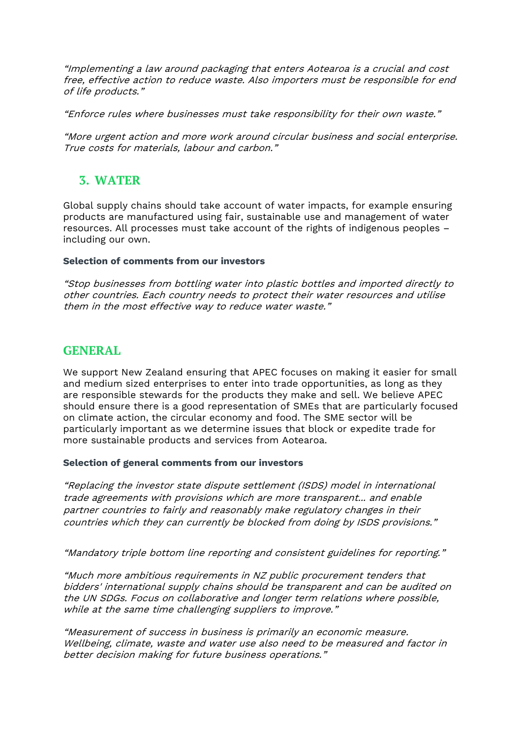"Implementing a law around packaging that enters Aotearoa is a crucial and cost free, effective action to reduce waste. Also importers must be responsible for end of life products."

"Enforce rules where businesses must take responsibility for their own waste."

"More urgent action and more work around circular business and social enterprise. True costs for materials, labour and carbon."

# **3. WATER**

Global supply chains should take account of water impacts, for example ensuring products are manufactured using fair, sustainable use and management of water resources. All processes must take account of the rights of indigenous peoples – including our own.

### **Selection of comments from our investors**

"Stop businesses from bottling water into plastic bottles and imported directly to other countries. Each country needs to protect their water resources and utilise them in the most effective way to reduce water waste."

## **GENERAL**

We support New Zealand ensuring that APEC focuses on making it easier for small and medium sized enterprises to enter into trade opportunities, as long as they are responsible stewards for the products they make and sell. We believe APEC should ensure there is a good representation of SMEs that are particularly focused on climate action, the circular economy and food. The SME sector will be particularly important as we determine issues that block or expedite trade for more sustainable products and services from Aotearoa.

### **Selection of general comments from our investors**

"Replacing the investor state dispute settlement (ISDS) model in international trade agreements with provisions which are more transparent... and enable partner countries to fairly and reasonably make regulatory changes in their countries which they can currently be blocked from doing by ISDS provisions."

"Mandatory triple bottom line reporting and consistent guidelines for reporting."

"Much more ambitious requirements in NZ public procurement tenders that bidders' international supply chains should be transparent and can be audited on the UN SDGs. Focus on collaborative and longer term relations where possible, while at the same time challenging suppliers to improve."

"Measurement of success in business is primarily an economic measure. Wellbeing, climate, waste and water use also need to be measured and factor in better decision making for future business operations."